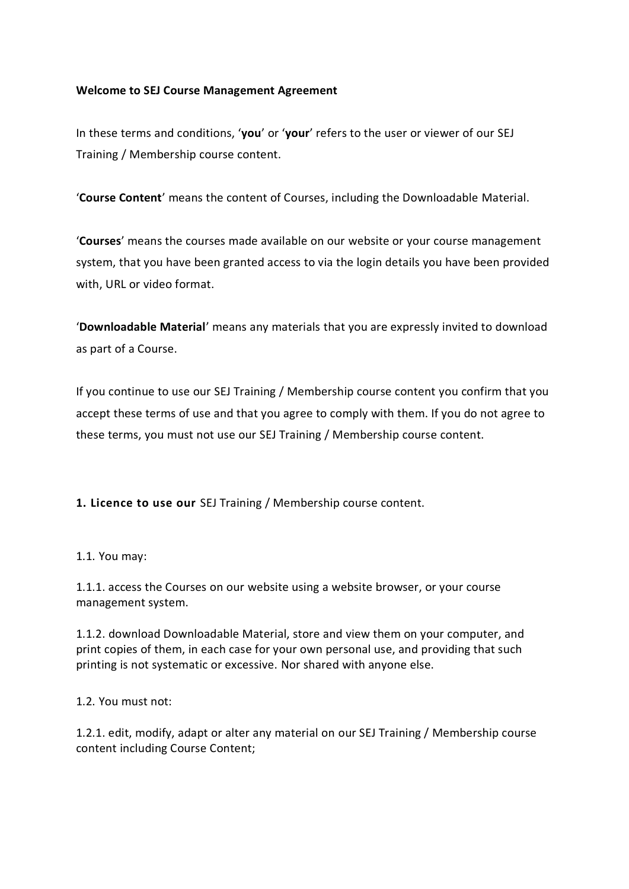### **Welcome to SEJ Course Management Agreement**

In these terms and conditions, '**you**' or '**your**' refers to the user or viewer of our SEJ Training / Membership course content.

'**Course Content**' means the content of Courses, including the Downloadable Material.

'**Courses**' means the courses made available on our website or your course management system, that you have been granted access to via the login details you have been provided with, URL or video format.

'**Downloadable Material**' means any materials that you are expressly invited to download as part of a Course.

If you continue to use our SEJ Training / Membership course content you confirm that you accept these terms of use and that you agree to comply with them. If you do not agree to these terms, you must not use our SEJ Training / Membership course content.

**1. Licence to use our** SEJ Training / Membership course content.

1.1. You may:

1.1.1. access the Courses on our website using a website browser, or your course management system.

1.1.2. download Downloadable Material, store and view them on your computer, and print copies of them, in each case for your own personal use, and providing that such printing is not systematic or excessive. Nor shared with anyone else.

1.2. You must not:

1.2.1. edit, modify, adapt or alter any material on our SEJ Training / Membership course content including Course Content;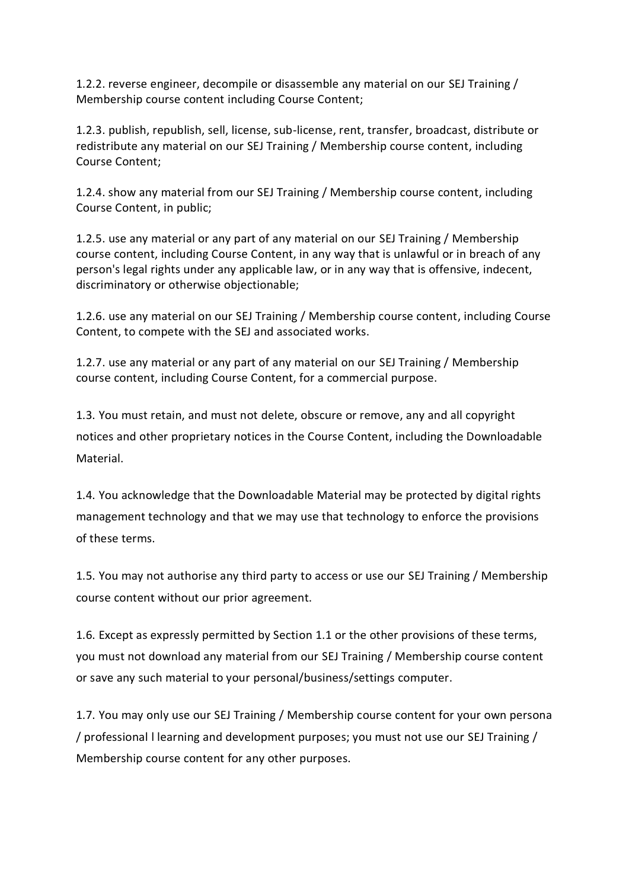1.2.2. reverse engineer, decompile or disassemble any material on our SEJ Training / Membership course content including Course Content;

1.2.3. publish, republish, sell, license, sub-license, rent, transfer, broadcast, distribute or redistribute any material on our SEJ Training / Membership course content, including Course Content;

1.2.4. show any material from our SEJ Training / Membership course content, including Course Content, in public;

1.2.5. use any material or any part of any material on our SEJ Training / Membership course content, including Course Content, in any way that is unlawful or in breach of any person's legal rights under any applicable law, or in any way that is offensive, indecent, discriminatory or otherwise objectionable;

1.2.6. use any material on our SEJ Training / Membership course content, including Course Content, to compete with the SEJ and associated works.

1.2.7. use any material or any part of any material on our SEJ Training / Membership course content, including Course Content, for a commercial purpose.

1.3. You must retain, and must not delete, obscure or remove, any and all copyright notices and other proprietary notices in the Course Content, including the Downloadable Material.

1.4. You acknowledge that the Downloadable Material may be protected by digital rights management technology and that we may use that technology to enforce the provisions of these terms.

1.5. You may not authorise any third party to access or use our SEJ Training / Membership course content without our prior agreement.

1.6. Except as expressly permitted by Section 1.1 or the other provisions of these terms, you must not download any material from our SEJ Training / Membership course content or save any such material to your personal/business/settings computer.

1.7. You may only use our SEJ Training / Membership course content for your own persona / professional l learning and development purposes; you must not use our SEJ Training / Membership course content for any other purposes.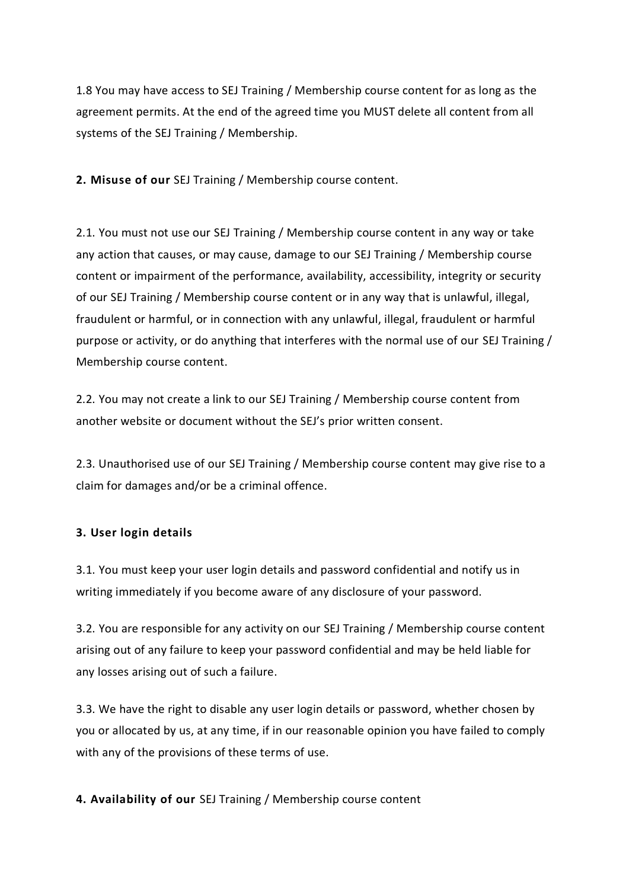1.8 You may have access to SEJ Training / Membership course content for as long as the agreement permits. At the end of the agreed time you MUST delete all content from all systems of the SEJ Training / Membership.

**2. Misuse of our** SEJ Training / Membership course content.

2.1. You must not use our SEJ Training / Membership course content in any way or take any action that causes, or may cause, damage to our SEJ Training / Membership course content or impairment of the performance, availability, accessibility, integrity or security of our SEJ Training / Membership course content or in any way that is unlawful, illegal, fraudulent or harmful, or in connection with any unlawful, illegal, fraudulent or harmful purpose or activity, or do anything that interferes with the normal use of our SEJ Training / Membership course content.

2.2. You may not create a link to our SEJ Training / Membership course content from another website or document without the SEJ's prior written consent.

2.3. Unauthorised use of our SEJ Training / Membership course content may give rise to a claim for damages and/or be a criminal offence.

## **3. User login details**

3.1. You must keep your user login details and password confidential and notify us in writing immediately if you become aware of any disclosure of your password.

3.2. You are responsible for any activity on our SEJ Training / Membership course content arising out of any failure to keep your password confidential and may be held liable for any losses arising out of such a failure.

3.3. We have the right to disable any user login details or password, whether chosen by you or allocated by us, at any time, if in our reasonable opinion you have failed to comply with any of the provisions of these terms of use.

**4. Availability of our** SEJ Training / Membership course content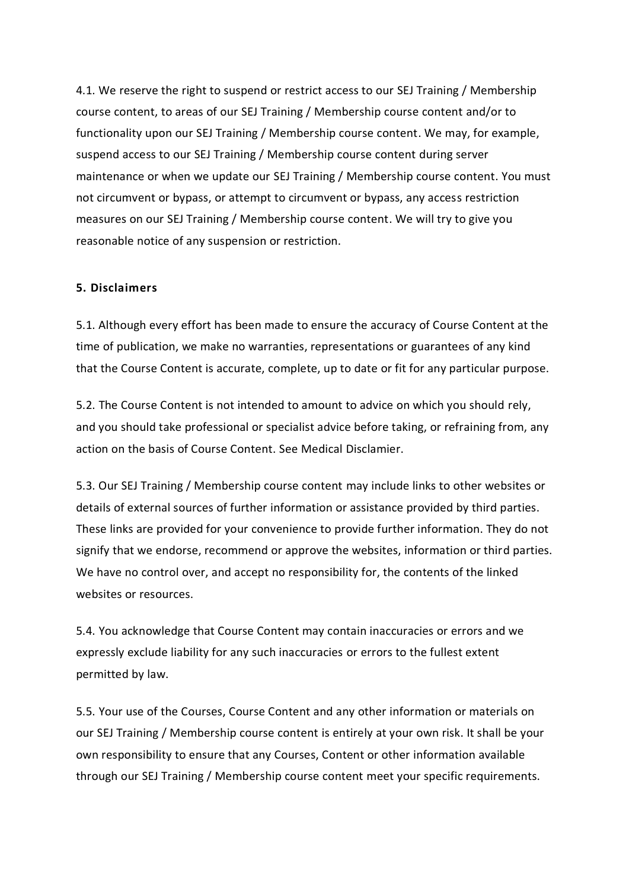4.1. We reserve the right to suspend or restrict access to our SEJ Training / Membership course content, to areas of our SEJ Training / Membership course content and/or to functionality upon our SEJ Training / Membership course content. We may, for example, suspend access to our SEJ Training / Membership course content during server maintenance or when we update our SEJ Training / Membership course content. You must not circumvent or bypass, or attempt to circumvent or bypass, any access restriction measures on our SEJ Training / Membership course content. We will try to give you reasonable notice of any suspension or restriction.

#### **5. Disclaimers**

5.1. Although every effort has been made to ensure the accuracy of Course Content at the time of publication, we make no warranties, representations or guarantees of any kind that the Course Content is accurate, complete, up to date or fit for any particular purpose.

5.2. The Course Content is not intended to amount to advice on which you should rely, and you should take professional or specialist advice before taking, or refraining from, any action on the basis of Course Content. See Medical Disclamier.

5.3. Our SEJ Training / Membership course content may include links to other websites or details of external sources of further information or assistance provided by third parties. These links are provided for your convenience to provide further information. They do not signify that we endorse, recommend or approve the websites, information or third parties. We have no control over, and accept no responsibility for, the contents of the linked websites or resources

5.4. You acknowledge that Course Content may contain inaccuracies or errors and we expressly exclude liability for any such inaccuracies or errors to the fullest extent permitted by law.

5.5. Your use of the Courses, Course Content and any other information or materials on our SEJ Training / Membership course content is entirely at your own risk. It shall be your own responsibility to ensure that any Courses, Content or other information available through our SEJ Training / Membership course content meet your specific requirements.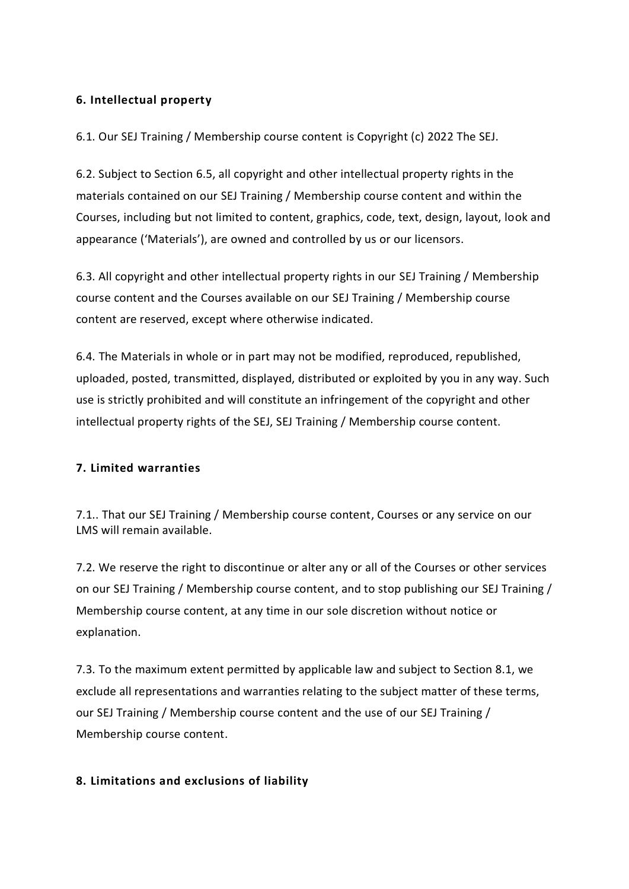# **6. Intellectual property**

6.1. Our SEJ Training / Membership course content is Copyright (c) 2022 The SEJ.

6.2. Subject to Section 6.5, all copyright and other intellectual property rights in the materials contained on our SEJ Training / Membership course content and within the Courses, including but not limited to content, graphics, code, text, design, layout, look and appearance ('Materials'), are owned and controlled by us or our licensors.

6.3. All copyright and other intellectual property rights in our SEJ Training / Membership course content and the Courses available on our SEJ Training / Membership course content are reserved, except where otherwise indicated.

6.4. The Materials in whole or in part may not be modified, reproduced, republished, uploaded, posted, transmitted, displayed, distributed or exploited by you in any way. Such use is strictly prohibited and will constitute an infringement of the copyright and other intellectual property rights of the SEJ, SEJ Training / Membership course content.

## **7. Limited warranties**

7.1.. That our SEJ Training / Membership course content, Courses or any service on our LMS will remain available.

7.2. We reserve the right to discontinue or alter any or all of the Courses or other services on our SEJ Training / Membership course content, and to stop publishing our SEJ Training / Membership course content, at any time in our sole discretion without notice or explanation.

7.3. To the maximum extent permitted by applicable law and subject to Section 8.1, we exclude all representations and warranties relating to the subject matter of these terms, our SEJ Training / Membership course content and the use of our SEJ Training / Membership course content.

## **8. Limitations and exclusions of liability**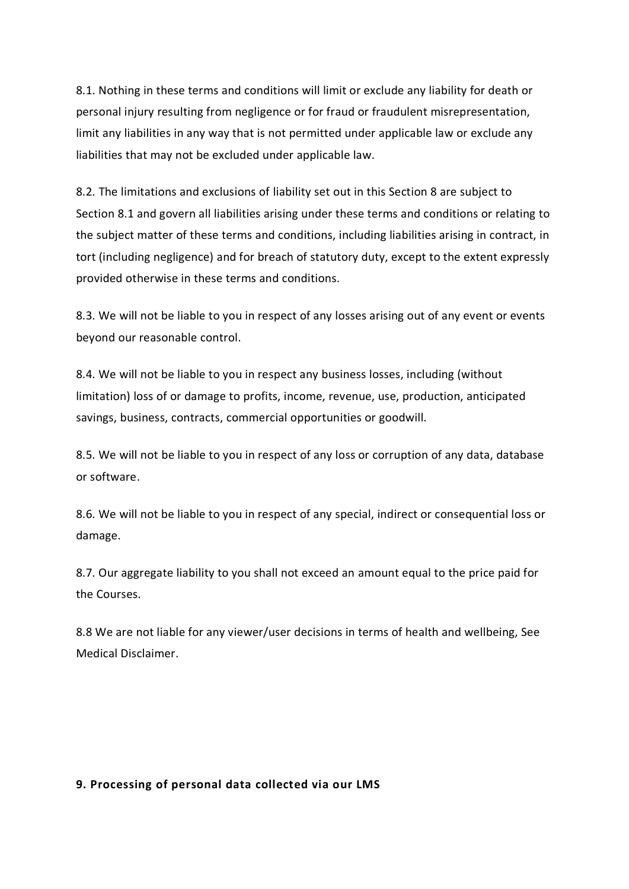8.1. Nothing in these terms and conditions will limit or exclude any liability for death or personal injury resulting from negligence or for fraud or fraudulent misrepresentation, limit any liabilities in any way that is not permitted under applicable law or exclude any liabilities that may not be excluded under applicable law.

8.2. The limitations and exclusions of liability set out in this Section 8 are subject to Section 8.1 and govern all liabilities arising under these terms and conditions or relating to the subject matter of these terms and conditions, including liabilities arising in contract, in tort (including negligence) and for breach of statutory duty, except to the extent expressly provided otherwise in these terms and conditions.

8.3. We will not be liable to you in respect of any losses arising out of any event or events beyond our reasonable control.

8.4. We will not be liable to you in respect any business losses, including (without limitation) loss of or damage to profits, income, revenue, use, production, anticipated savings, business, contracts, commercial opportunities or goodwill.

8.5. We will not be liable to you in respect of any loss or corruption of any data, database or software.

8.6. We will not be liable to you in respect of any special, indirect or consequential loss or damage.

8.7. Our aggregate liability to you shall not exceed an amount equal to the price paid for the Courses.

8.8 We are not liable for any viewer/user decisions in terms of health and wellbeing, See Medical Disclaimer.

### **9. Processing of personal data collected via our LMS**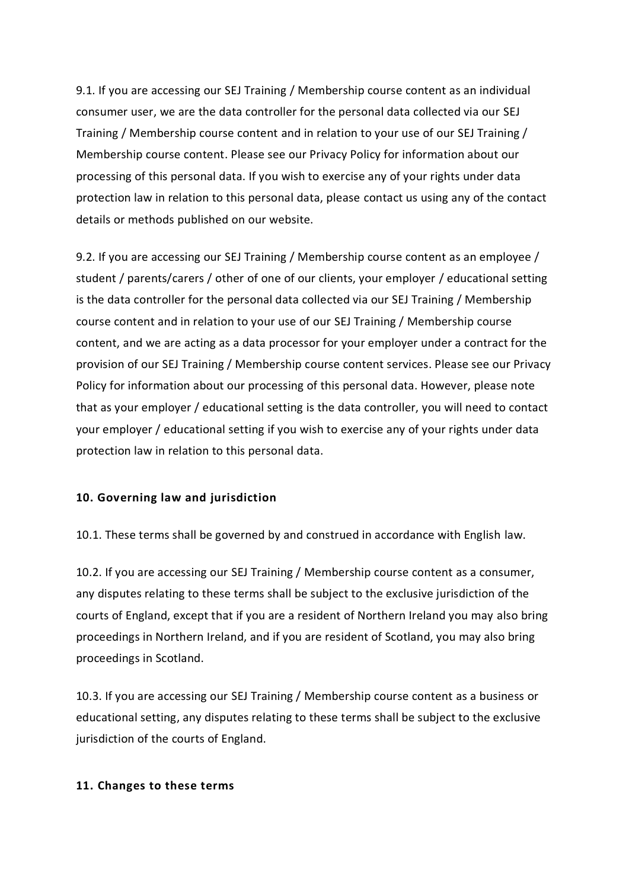9.1. If you are accessing our SEJ Training / Membership course content as an individual consumer user, we are the data controller for the personal data collected via our SEJ Training / Membership course content and in relation to your use of our SEJ Training / Membership course content. Please see our Privacy Policy for information about our processing of this personal data. If you wish to exercise any of your rights under data protection law in relation to this personal data, please contact us using any of the contact details or methods published on our website.

9.2. If you are accessing our SEJ Training / Membership course content as an employee / student / parents/carers / other of one of our clients, your employer / educational setting is the data controller for the personal data collected via our SEJ Training / Membership course content and in relation to your use of our SEJ Training / Membership course content, and we are acting as a data processor for your employer under a contract for the provision of our SEJ Training / Membership course content services. Please see our Privacy Policy for information about our processing of this personal data. However, please note that as your employer / educational setting is the data controller, you will need to contact your employer / educational setting if you wish to exercise any of your rights under data protection law in relation to this personal data.

### **10. Governing law and jurisdiction**

10.1. These terms shall be governed by and construed in accordance with English law.

10.2. If you are accessing our SEJ Training / Membership course content as a consumer, any disputes relating to these terms shall be subject to the exclusive jurisdiction of the courts of England, except that if you are a resident of Northern Ireland you may also bring proceedings in Northern Ireland, and if you are resident of Scotland, you may also bring proceedings in Scotland.

10.3. If you are accessing our SEJ Training / Membership course content as a business or educational setting, any disputes relating to these terms shall be subject to the exclusive jurisdiction of the courts of England.

#### **11. Changes to these terms**